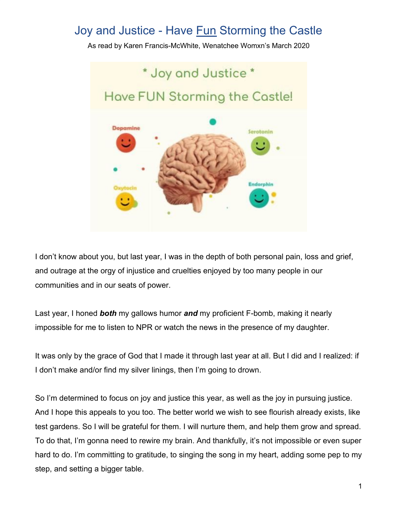## Joy and Justice - Have **Fun** Storming the Castle

As read by Karen Francis-McWhite, Wenatchee Womxn's March 2020



I don't know about you, but last year, I was in the depth of both personal pain, loss and grief, and outrage at the orgy of injustice and cruelties enjoyed by too many people in our communities and in our seats of power.

Last year, I honed *both* my gallows humor *and* my proficient F-bomb, making it nearly impossible for me to listen to NPR or watch the news in the presence of my daughter.

It was only by the grace of God that I made it through last year at all. But I did and I realized: if I don't make and/or find my silver linings, then I'm going to drown.

So I'm determined to focus on joy and justice this year, as well as the joy in pursuing justice. And I hope this appeals to you too. The better world we wish to see flourish already exists, like test gardens. So I will be grateful for them. I will nurture them, and help them grow and spread. To do that, I'm gonna need to rewire my brain. And thankfully, it's not impossible or even super hard to do. I'm committing to gratitude, to singing the song in my heart, adding some pep to my step, and setting a bigger table.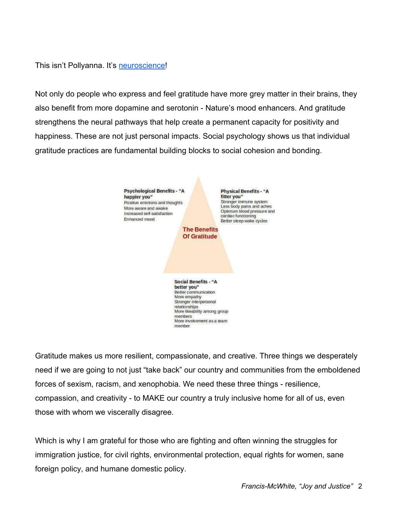## This isn't Pollyanna. It's [neuroscience](https://positivepsychology.com/neuroscience-of-gratitude/)!

Not only do people who express and feel gratitude have more grey matter in their brains, they also benefit from more dopamine and serotonin - Nature's mood enhancers. And gratitude strengthens the neural pathways that help create a permanent capacity for positivity and happiness. These are not just personal impacts. Social psychology shows us that individual gratitude practices are fundamental building blocks to social cohesion and bonding.



Gratitude makes us more resilient, compassionate, and creative. Three things we desperately need if we are going to not just "take back" our country and communities from the emboldened forces of sexism, racism, and xenophobia. We need these three things - resilience, compassion, and creativity - to MAKE our country a truly inclusive home for all of us, even those with whom we viscerally disagree.

Which is why I am grateful for those who are fighting and often winning the struggles for immigration justice, for civil rights, environmental protection, equal rights for women, sane foreign policy, and humane domestic policy.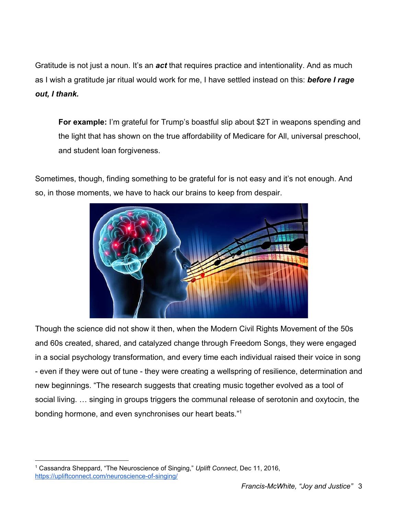Gratitude is not just a noun. It's an *act* that requires practice and intentionality. And as much as I wish a gratitude jar ritual would work for me, I have settled instead on this: *before I rage out, I thank.*

**For example:** I'm grateful for Trump's boastful slip about \$2T in weapons spending and the light that has shown on the true affordability of Medicare for All, universal preschool, and student loan forgiveness.

Sometimes, though, finding something to be grateful for is not easy and it's not enough. And so, in those moments, we have to hack our brains to keep from despair.



Though the science did not show it then, when the Modern Civil Rights Movement of the 50s and 60s created, shared, and catalyzed change through Freedom Songs, they were engaged in a social psychology transformation, and every time each individual raised their voice in song - even if they were out of tune - they were creating a wellspring of resilience, determination and new beginnings. "The research suggests that creating music together evolved as a tool of social living. … singing in groups triggers the communal release of serotonin and oxytocin, the bonding hormone, and even synchronises our heart beats."<sup>1</sup>

<sup>1</sup> Cassandra Sheppard, "The Neuroscience of Singing," *Uplift Connect*, Dec 11, 2016, <https://upliftconnect.com/neuroscience-of-singing/>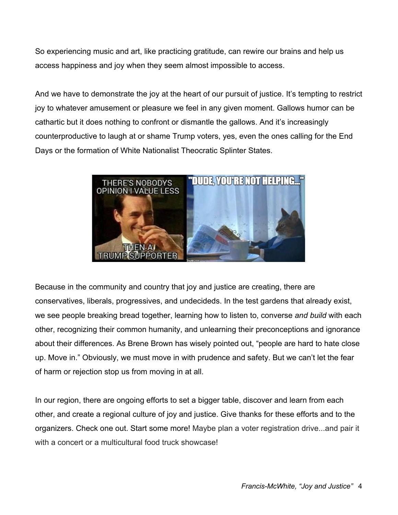So experiencing music and art, like practicing gratitude, can rewire our brains and help us access happiness and joy when they seem almost impossible to access.

And we have to demonstrate the joy at the heart of our pursuit of justice. It's tempting to restrict joy to whatever amusement or pleasure we feel in any given moment. Gallows humor can be cathartic but it does nothing to confront or dismantle the gallows. And it's increasingly counterproductive to laugh at or shame Trump voters, yes, even the ones calling for the End Days or the formation of White Nationalist Theocratic Splinter States.



Because in the community and country that joy and justice are creating, there are conservatives, liberals, progressives, and undecideds. In the test gardens that already exist, we see people breaking bread together, learning how to listen to, converse *and build* with each other, recognizing their common humanity, and unlearning their preconceptions and ignorance about their differences. As Brene Brown has wisely pointed out, "people are hard to hate close up. Move in." Obviously, we must move in with prudence and safety. But we can't let the fear of harm or rejection stop us from moving in at all.

In our region, there are ongoing efforts to set a bigger table, discover and learn from each other, and create a regional culture of joy and justice. Give thanks for these efforts and to the organizers. Check one out. Start some more! Maybe plan a voter registration drive...and pair it with a concert or a multicultural food truck showcase!